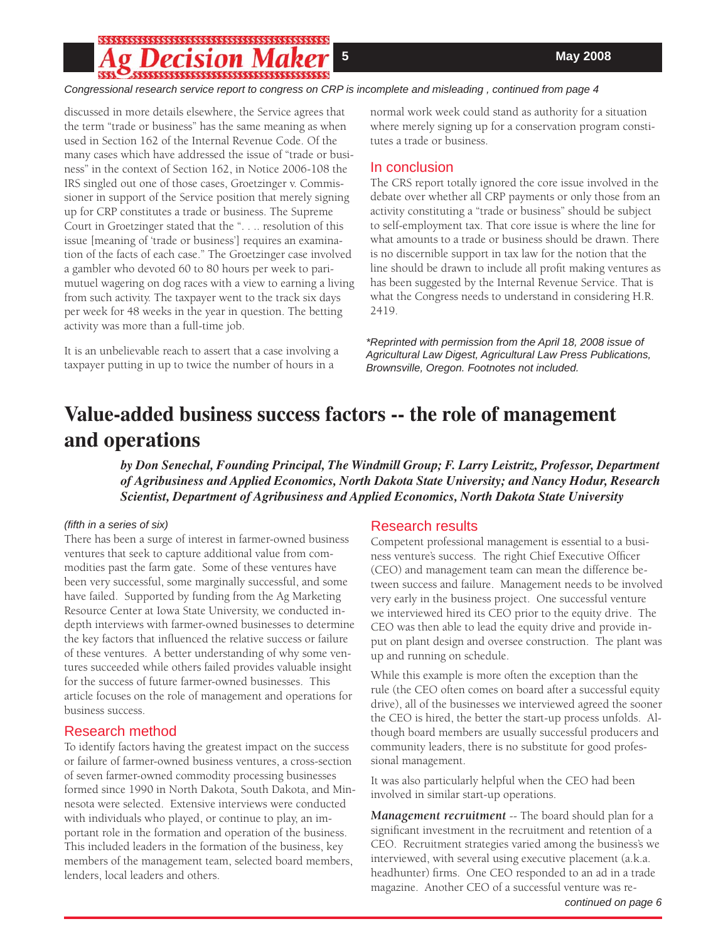# 

### *Congressional research service report to congress on CRP is incomplete and misleading , continued from page 4*

discussed in more details elsewhere, the Service agrees that the term "trade or business" has the same meaning as when used in Section 162 of the Internal Revenue Code. Of the many cases which have addressed the issue of "trade or business" in the context of Section 162, in Notice 2006-108 the IRS singled out one of those cases, Groetzinger v. Commissioner in support of the Service position that merely signing up for CRP constitutes a trade or business. The Supreme Court in Groetzinger stated that the ". . .. resolution of this issue [meaning of 'trade or business'] requires an examination of the facts of each case." The Groetzinger case involved a gambler who devoted 60 to 80 hours per week to parimutuel wagering on dog races with a view to earning a living from such activity. The taxpayer went to the track six days per week for 48 weeks in the year in question. The betting activity was more than a full-time job.

It is an unbelievable reach to assert that a case involving a taxpayer putting in up to twice the number of hours in a

normal work week could stand as authority for a situation where merely signing up for a conservation program constitutes a trade or business.

## In conclusion

The CRS report totally ignored the core issue involved in the debate over whether all CRP payments or only those from an activity constituting a "trade or business" should be subject to self-employment tax. That core issue is where the line for what amounts to a trade or business should be drawn. There is no discernible support in tax law for the notion that the line should be drawn to include all profit making ventures as has been suggested by the Internal Revenue Service. That is what the Congress needs to understand in considering H.R. 2419.

*\*Reprinted with permission from the April 18, 2008 issue of Agricultural Law Digest, Agricultural Law Press Publications, Brownsville, Oregon. Footnotes not included.*

# **Value-added business success factors -- the role of management and operations**

*by Don Senechal, Founding Principal, The Windmill Group; F. Larry Leistritz, Professor, Department of Agribusiness and Applied Economics, North Dakota State University; and Nancy Hodur, Research Scientist, Department of Agribusiness and Applied Economics, North Dakota State University*

#### *(fi fth in a series of six)*

There has been a surge of interest in farmer-owned business ventures that seek to capture additional value from commodities past the farm gate. Some of these ventures have been very successful, some marginally successful, and some have failed. Supported by funding from the Ag Marketing Resource Center at Iowa State University, we conducted indepth interviews with farmer-owned businesses to determine the key factors that influenced the relative success or failure of these ventures. A better understanding of why some ventures succeeded while others failed provides valuable insight for the success of future farmer-owned businesses. This article focuses on the role of management and operations for business success.

## Research method

To identify factors having the greatest impact on the success or failure of farmer-owned business ventures, a cross-section of seven farmer-owned commodity processing businesses formed since 1990 in North Dakota, South Dakota, and Minnesota were selected. Extensive interviews were conducted with individuals who played, or continue to play, an important role in the formation and operation of the business. This included leaders in the formation of the business, key members of the management team, selected board members, lenders, local leaders and others.

## Research results

Competent professional management is essential to a business venture's success. The right Chief Executive Officer (CEO) and management team can mean the difference between success and failure. Management needs to be involved very early in the business project. One successful venture we interviewed hired its CEO prior to the equity drive. The CEO was then able to lead the equity drive and provide input on plant design and oversee construction. The plant was up and running on schedule.

While this example is more often the exception than the rule (the CEO often comes on board after a successful equity drive), all of the businesses we interviewed agreed the sooner the CEO is hired, the better the start-up process unfolds. Although board members are usually successful producers and community leaders, there is no substitute for good professional management.

It was also particularly helpful when the CEO had been involved in similar start-up operations.

*Management recruitment* -- The board should plan for a significant investment in the recruitment and retention of a CEO. Recruitment strategies varied among the business's we interviewed, with several using executive placement (a.k.a. headhunter) firms. One CEO responded to an ad in a trade magazine. Another CEO of a successful venture was re-

*continued on page 6*